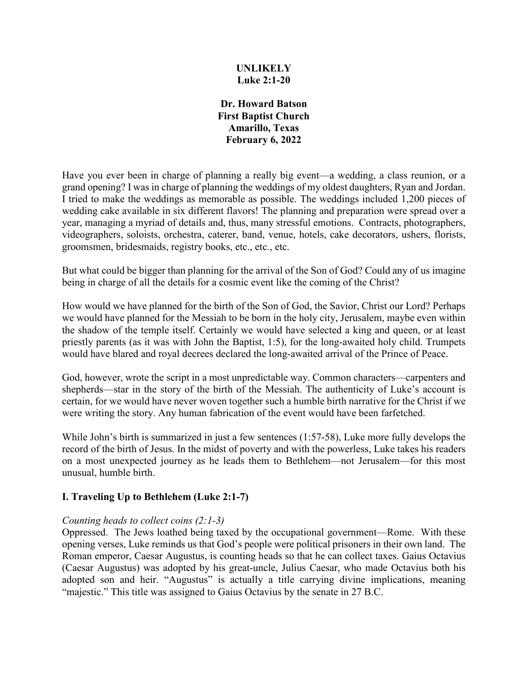## **UNLIKELY Luke 2:1-20**

**Dr. Howard Batson First Baptist Church Amarillo, Texas February 6, 2022**

Have you ever been in charge of planning a really big event—a wedding, a class reunion, or a grand opening? I was in charge of planning the weddings of my oldest daughters, Ryan and Jordan. I tried to make the weddings as memorable as possible. The weddings included 1,200 pieces of wedding cake available in six different flavors! The planning and preparation were spread over a year, managing a myriad of details and, thus, many stressful emotions. Contracts, photographers, videographers, soloists, orchestra, caterer, band, venue, hotels, cake decorators, ushers, florists, groomsmen, bridesmaids, registry books, etc., etc., etc.

But what could be bigger than planning for the arrival of the Son of God? Could any of us imagine being in charge of all the details for a cosmic event like the coming of the Christ?

How would we have planned for the birth of the Son of God, the Savior, Christ our Lord? Perhaps we would have planned for the Messiah to be born in the holy city, Jerusalem, maybe even within the shadow of the temple itself. Certainly we would have selected a king and queen, or at least priestly parents (as it was with John the Baptist, 1:5), for the long-awaited holy child. Trumpets would have blared and royal decrees declared the long-awaited arrival of the Prince of Peace.

God, however, wrote the script in a most unpredictable way. Common characters—carpenters and shepherds—star in the story of the birth of the Messiah. The authenticity of Luke's account is certain, for we would have never woven together such a humble birth narrative for the Christ if we were writing the story. Any human fabrication of the event would have been farfetched.

While John's birth is summarized in just a few sentences (1:57-58), Luke more fully develops the record of the birth of Jesus. In the midst of poverty and with the powerless, Luke takes his readers on a most unexpected journey as he leads them to Bethlehem—not Jerusalem—for this most unusual, humble birth.

# **I. Traveling Up to Bethlehem (Luke 2:1-7)**

### *Counting heads to collect coins (2:1-3)*

Oppressed. The Jews loathed being taxed by the occupational government—Rome. With these opening verses, Luke reminds us that God's people were political prisoners in their own land. The Roman emperor, Caesar Augustus, is counting heads so that he can collect taxes. Gaius Octavius (Caesar Augustus) was adopted by his great-uncle, Julius Caesar, who made Octavius both his adopted son and heir. "Augustus" is actually a title carrying divine implications, meaning "majestic." This title was assigned to Gaius Octavius by the senate in 27 B.C.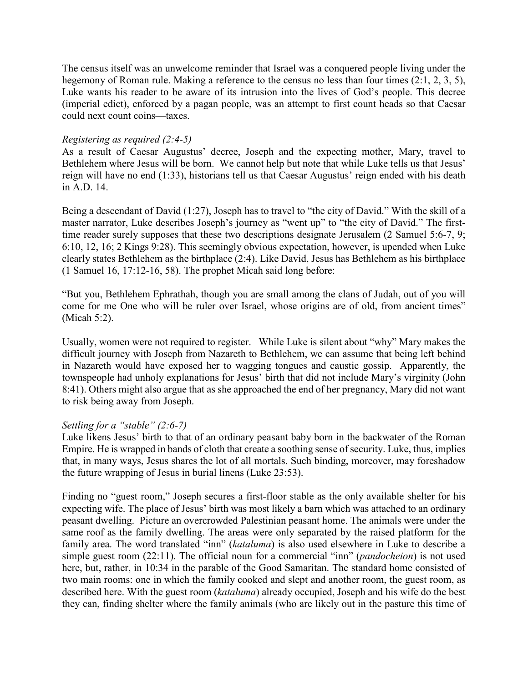The census itself was an unwelcome reminder that Israel was a conquered people living under the hegemony of Roman rule. Making a reference to the census no less than four times (2:1, 2, 3, 5), Luke wants his reader to be aware of its intrusion into the lives of God's people. This decree (imperial edict), enforced by a pagan people, was an attempt to first count heads so that Caesar could next count coins—taxes.

## *Registering as required (2:4-5)*

As a result of Caesar Augustus' decree, Joseph and the expecting mother, Mary, travel to Bethlehem where Jesus will be born. We cannot help but note that while Luke tells us that Jesus' reign will have no end (1:33), historians tell us that Caesar Augustus' reign ended with his death in A.D. 14.

Being a descendant of David (1:27), Joseph has to travel to "the city of David." With the skill of a master narrator, Luke describes Joseph's journey as "went up" to "the city of David." The firsttime reader surely supposes that these two descriptions designate Jerusalem (2 Samuel 5:6-7, 9; 6:10, 12, 16; 2 Kings 9:28). This seemingly obvious expectation, however, is upended when Luke clearly states Bethlehem as the birthplace (2:4). Like David, Jesus has Bethlehem as his birthplace (1 Samuel 16, 17:12-16, 58). The prophet Micah said long before:

"But you, Bethlehem Ephrathah, though you are small among the clans of Judah, out of you will come for me One who will be ruler over Israel, whose origins are of old, from ancient times" (Micah 5:2).

Usually, women were not required to register. While Luke is silent about "why" Mary makes the difficult journey with Joseph from Nazareth to Bethlehem, we can assume that being left behind in Nazareth would have exposed her to wagging tongues and caustic gossip. Apparently, the townspeople had unholy explanations for Jesus' birth that did not include Mary's virginity (John 8:41). Others might also argue that as she approached the end of her pregnancy, Mary did not want to risk being away from Joseph.

# *Settling for a "stable" (2:6-7)*

Luke likens Jesus' birth to that of an ordinary peasant baby born in the backwater of the Roman Empire. He is wrapped in bands of cloth that create a soothing sense of security. Luke, thus, implies that, in many ways, Jesus shares the lot of all mortals. Such binding, moreover, may foreshadow the future wrapping of Jesus in burial linens (Luke 23:53).

Finding no "guest room," Joseph secures a first-floor stable as the only available shelter for his expecting wife. The place of Jesus' birth was most likely a barn which was attached to an ordinary peasant dwelling. Picture an overcrowded Palestinian peasant home. The animals were under the same roof as the family dwelling. The areas were only separated by the raised platform for the family area. The word translated "inn" (*kataluma*) is also used elsewhere in Luke to describe a simple guest room (22:11). The official noun for a commercial "inn" (*pandocheion*) is not used here, but, rather, in 10:34 in the parable of the Good Samaritan. The standard home consisted of two main rooms: one in which the family cooked and slept and another room, the guest room, as described here. With the guest room (*kataluma*) already occupied, Joseph and his wife do the best they can, finding shelter where the family animals (who are likely out in the pasture this time of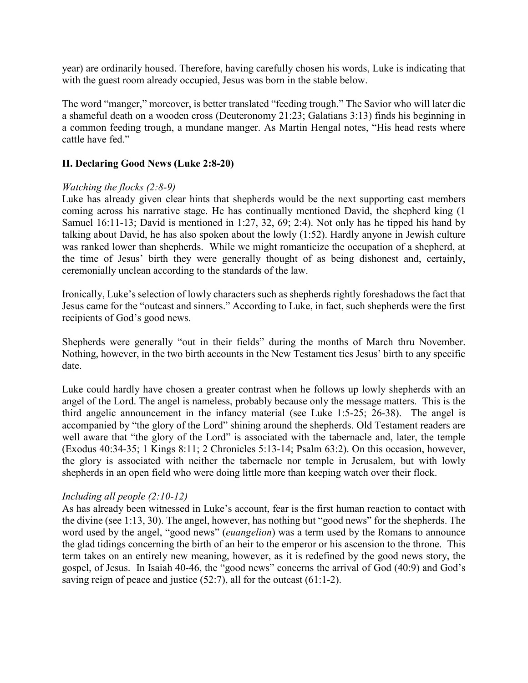year) are ordinarily housed. Therefore, having carefully chosen his words, Luke is indicating that with the guest room already occupied, Jesus was born in the stable below.

The word "manger," moreover, is better translated "feeding trough." The Savior who will later die a shameful death on a wooden cross (Deuteronomy 21:23; Galatians 3:13) finds his beginning in a common feeding trough, a mundane manger. As Martin Hengal notes, "His head rests where cattle have fed."

### **II. Declaring Good News (Luke 2:8-20)**

### *Watching the flocks (2:8-9)*

Luke has already given clear hints that shepherds would be the next supporting cast members coming across his narrative stage. He has continually mentioned David, the shepherd king (1 Samuel 16:11-13; David is mentioned in 1:27, 32, 69; 2:4). Not only has he tipped his hand by talking about David, he has also spoken about the lowly (1:52). Hardly anyone in Jewish culture was ranked lower than shepherds. While we might romanticize the occupation of a shepherd, at the time of Jesus' birth they were generally thought of as being dishonest and, certainly, ceremonially unclean according to the standards of the law.

Ironically, Luke's selection of lowly characters such as shepherds rightly foreshadows the fact that Jesus came for the "outcast and sinners." According to Luke, in fact, such shepherds were the first recipients of God's good news.

Shepherds were generally "out in their fields" during the months of March thru November. Nothing, however, in the two birth accounts in the New Testament ties Jesus' birth to any specific date.

Luke could hardly have chosen a greater contrast when he follows up lowly shepherds with an angel of the Lord. The angel is nameless, probably because only the message matters. This is the third angelic announcement in the infancy material (see Luke 1:5-25; 26-38). The angel is accompanied by "the glory of the Lord" shining around the shepherds. Old Testament readers are well aware that "the glory of the Lord" is associated with the tabernacle and, later, the temple (Exodus 40:34-35; 1 Kings 8:11; 2 Chronicles 5:13-14; Psalm 63:2). On this occasion, however, the glory is associated with neither the tabernacle nor temple in Jerusalem, but with lowly shepherds in an open field who were doing little more than keeping watch over their flock.

### *Including all people (2:10-12)*

As has already been witnessed in Luke's account, fear is the first human reaction to contact with the divine (see 1:13, 30). The angel, however, has nothing but "good news" for the shepherds. The word used by the angel, "good news" (*euangelion*) was a term used by the Romans to announce the glad tidings concerning the birth of an heir to the emperor or his ascension to the throne. This term takes on an entirely new meaning, however, as it is redefined by the good news story, the gospel, of Jesus. In Isaiah 40-46, the "good news" concerns the arrival of God (40:9) and God's saving reign of peace and justice (52:7), all for the outcast (61:1-2).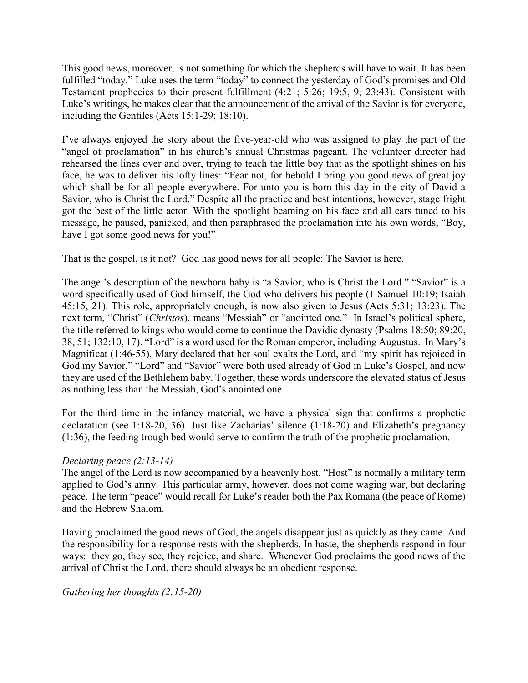This good news, moreover, is not something for which the shepherds will have to wait. It has been fulfilled "today." Luke uses the term "today" to connect the yesterday of God's promises and Old Testament prophecies to their present fulfillment (4:21; 5:26; 19:5, 9; 23:43). Consistent with Luke's writings, he makes clear that the announcement of the arrival of the Savior is for everyone, including the Gentiles (Acts 15:1-29; 18:10).

I've always enjoyed the story about the five-year-old who was assigned to play the part of the "angel of proclamation" in his church's annual Christmas pageant. The volunteer director had rehearsed the lines over and over, trying to teach the little boy that as the spotlight shines on his face, he was to deliver his lofty lines: "Fear not, for behold I bring you good news of great joy which shall be for all people everywhere. For unto you is born this day in the city of David a Savior, who is Christ the Lord." Despite all the practice and best intentions, however, stage fright got the best of the little actor. With the spotlight beaming on his face and all ears tuned to his message, he paused, panicked, and then paraphrased the proclamation into his own words, "Boy, have I got some good news for you!"

That is the gospel, is it not? God has good news for all people: The Savior is here.

The angel's description of the newborn baby is "a Savior, who is Christ the Lord." "Savior" is a word specifically used of God himself, the God who delivers his people (1 Samuel 10:19; Isaiah 45:15, 21). This role, appropriately enough, is now also given to Jesus (Acts 5:31; 13:23). The next term, "Christ" (*Christos*), means "Messiah" or "anointed one." In Israel's political sphere, the title referred to kings who would come to continue the Davidic dynasty (Psalms 18:50; 89:20, 38, 51; 132:10, 17). "Lord" is a word used for the Roman emperor, including Augustus. In Mary's Magnificat (1:46-55), Mary declared that her soul exalts the Lord, and "my spirit has rejoiced in God my Savior." "Lord" and "Savior" were both used already of God in Luke's Gospel, and now they are used of the Bethlehem baby. Together, these words underscore the elevated status of Jesus as nothing less than the Messiah, God's anointed one.

For the third time in the infancy material, we have a physical sign that confirms a prophetic declaration (see 1:18-20, 36). Just like Zacharias' silence (1:18-20) and Elizabeth's pregnancy (1:36), the feeding trough bed would serve to confirm the truth of the prophetic proclamation.

# *Declaring peace (2:13-14)*

The angel of the Lord is now accompanied by a heavenly host. "Host" is normally a military term applied to God's army. This particular army, however, does not come waging war, but declaring peace. The term "peace" would recall for Luke's reader both the Pax Romana (the peace of Rome) and the Hebrew Shalom.

Having proclaimed the good news of God, the angels disappear just as quickly as they came. And the responsibility for a response rests with the shepherds. In haste, the shepherds respond in four ways: they go, they see, they rejoice, and share. Whenever God proclaims the good news of the arrival of Christ the Lord, there should always be an obedient response.

*Gathering her thoughts (2:15-20)*